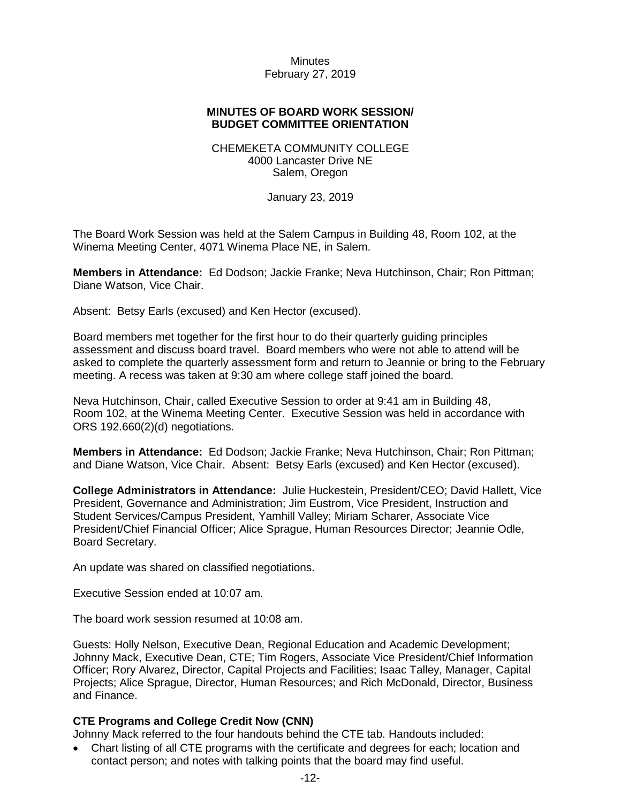### **MINUTES OF BOARD WORK SESSION/ BUDGET COMMITTEE ORIENTATION**

#### CHEMEKETA COMMUNITY COLLEGE 4000 Lancaster Drive NE Salem, Oregon

January 23, 2019

The Board Work Session was held at the Salem Campus in Building 48, Room 102, at the Winema Meeting Center, 4071 Winema Place NE, in Salem.

**Members in Attendance:** Ed Dodson; Jackie Franke; Neva Hutchinson, Chair; Ron Pittman; Diane Watson, Vice Chair.

Absent: Betsy Earls (excused) and Ken Hector (excused).

Board members met together for the first hour to do their quarterly guiding principles assessment and discuss board travel. Board members who were not able to attend will be asked to complete the quarterly assessment form and return to Jeannie or bring to the February meeting. A recess was taken at 9:30 am where college staff joined the board.

Neva Hutchinson, Chair, called Executive Session to order at 9:41 am in Building 48, Room 102, at the Winema Meeting Center. Executive Session was held in accordance with ORS 192.660(2)(d) negotiations.

**Members in Attendance:** Ed Dodson; Jackie Franke; Neva Hutchinson, Chair; Ron Pittman; and Diane Watson, Vice Chair. Absent: Betsy Earls (excused) and Ken Hector (excused).

**College Administrators in Attendance:** Julie Huckestein, President/CEO; David Hallett, Vice President, Governance and Administration; Jim Eustrom, Vice President, Instruction and Student Services/Campus President, Yamhill Valley; Miriam Scharer, Associate Vice President/Chief Financial Officer; Alice Sprague, Human Resources Director; Jeannie Odle, Board Secretary.

An update was shared on classified negotiations.

Executive Session ended at 10:07 am.

The board work session resumed at 10:08 am.

Guests: Holly Nelson, Executive Dean, Regional Education and Academic Development; Johnny Mack, Executive Dean, CTE; Tim Rogers, Associate Vice President/Chief Information Officer; Rory Alvarez, Director, Capital Projects and Facilities; Isaac Talley, Manager, Capital Projects; Alice Sprague, Director, Human Resources; and Rich McDonald, Director, Business and Finance.

#### **CTE Programs and College Credit Now (CNN)**

Johnny Mack referred to the four handouts behind the CTE tab. Handouts included:

• Chart listing of all CTE programs with the certificate and degrees for each; location and contact person; and notes with talking points that the board may find useful.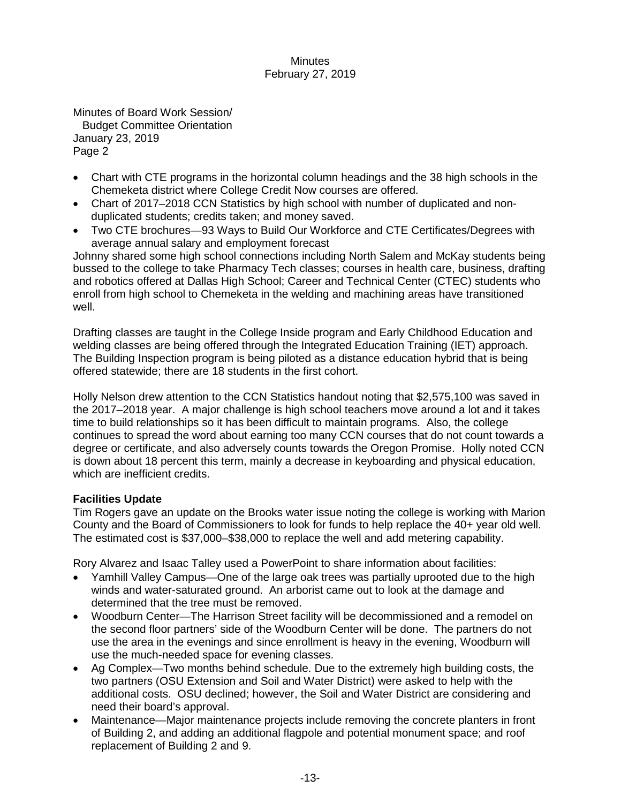Minutes of Board Work Session/ Budget Committee Orientation January 23, 2019 Page 2

- Chart with CTE programs in the horizontal column headings and the 38 high schools in the Chemeketa district where College Credit Now courses are offered.
- Chart of 2017–2018 CCN Statistics by high school with number of duplicated and nonduplicated students; credits taken; and money saved.
- Two CTE brochures—93 Ways to Build Our Workforce and CTE Certificates/Degrees with average annual salary and employment forecast

Johnny shared some high school connections including North Salem and McKay students being bussed to the college to take Pharmacy Tech classes; courses in health care, business, drafting and robotics offered at Dallas High School; Career and Technical Center (CTEC) students who enroll from high school to Chemeketa in the welding and machining areas have transitioned well.

Drafting classes are taught in the College Inside program and Early Childhood Education and welding classes are being offered through the Integrated Education Training (IET) approach. The Building Inspection program is being piloted as a distance education hybrid that is being offered statewide; there are 18 students in the first cohort.

Holly Nelson drew attention to the CCN Statistics handout noting that \$2,575,100 was saved in the 2017–2018 year. A major challenge is high school teachers move around a lot and it takes time to build relationships so it has been difficult to maintain programs. Also, the college continues to spread the word about earning too many CCN courses that do not count towards a degree or certificate, and also adversely counts towards the Oregon Promise. Holly noted CCN is down about 18 percent this term, mainly a decrease in keyboarding and physical education, which are inefficient credits.

# **Facilities Update**

Tim Rogers gave an update on the Brooks water issue noting the college is working with Marion County and the Board of Commissioners to look for funds to help replace the 40+ year old well. The estimated cost is \$37,000–\$38,000 to replace the well and add metering capability.

Rory Alvarez and Isaac Talley used a PowerPoint to share information about facilities:

- Yamhill Valley Campus—One of the large oak trees was partially uprooted due to the high winds and water-saturated ground. An arborist came out to look at the damage and determined that the tree must be removed.
- Woodburn Center—The Harrison Street facility will be decommissioned and a remodel on the second floor partners' side of the Woodburn Center will be done. The partners do not use the area in the evenings and since enrollment is heavy in the evening, Woodburn will use the much-needed space for evening classes.
- Ag Complex—Two months behind schedule. Due to the extremely high building costs, the two partners (OSU Extension and Soil and Water District) were asked to help with the additional costs. OSU declined; however, the Soil and Water District are considering and need their board's approval.
- Maintenance—Major maintenance projects include removing the concrete planters in front of Building 2, and adding an additional flagpole and potential monument space; and roof replacement of Building 2 and 9.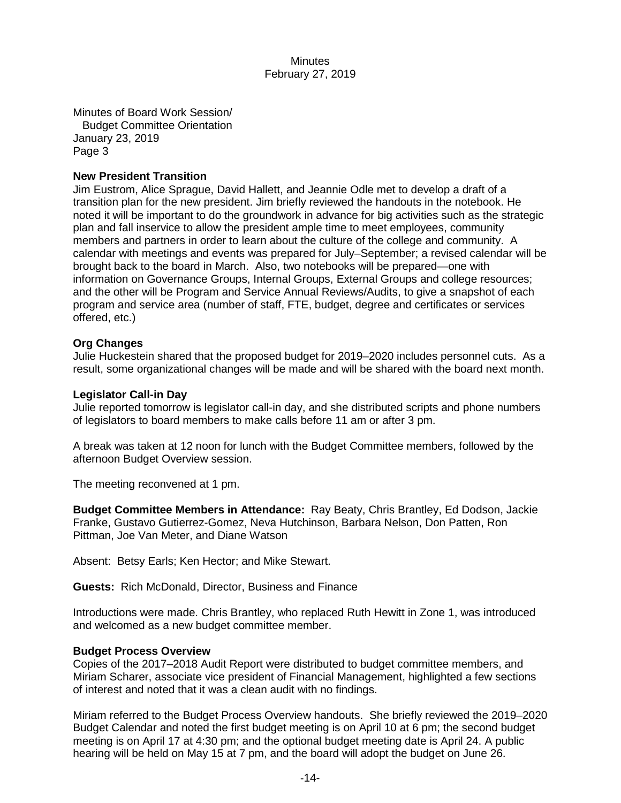Minutes of Board Work Session/ Budget Committee Orientation January 23, 2019 Page 3

### **New President Transition**

Jim Eustrom, Alice Sprague, David Hallett, and Jeannie Odle met to develop a draft of a transition plan for the new president. Jim briefly reviewed the handouts in the notebook. He noted it will be important to do the groundwork in advance for big activities such as the strategic plan and fall inservice to allow the president ample time to meet employees, community members and partners in order to learn about the culture of the college and community. A calendar with meetings and events was prepared for July–September; a revised calendar will be brought back to the board in March. Also, two notebooks will be prepared—one with information on Governance Groups, Internal Groups, External Groups and college resources; and the other will be Program and Service Annual Reviews/Audits, to give a snapshot of each program and service area (number of staff, FTE, budget, degree and certificates or services offered, etc.)

## **Org Changes**

Julie Huckestein shared that the proposed budget for 2019–2020 includes personnel cuts. As a result, some organizational changes will be made and will be shared with the board next month.

#### **Legislator Call-in Day**

Julie reported tomorrow is legislator call-in day, and she distributed scripts and phone numbers of legislators to board members to make calls before 11 am or after 3 pm.

A break was taken at 12 noon for lunch with the Budget Committee members, followed by the afternoon Budget Overview session.

The meeting reconvened at 1 pm.

**Budget Committee Members in Attendance:** Ray Beaty, Chris Brantley, Ed Dodson, Jackie Franke, Gustavo Gutierrez-Gomez, Neva Hutchinson, Barbara Nelson, Don Patten, Ron Pittman, Joe Van Meter, and Diane Watson

Absent: Betsy Earls; Ken Hector; and Mike Stewart.

**Guests:** Rich McDonald, Director, Business and Finance

Introductions were made. Chris Brantley, who replaced Ruth Hewitt in Zone 1, was introduced and welcomed as a new budget committee member.

#### **Budget Process Overview**

Copies of the 2017–2018 Audit Report were distributed to budget committee members, and Miriam Scharer, associate vice president of Financial Management, highlighted a few sections of interest and noted that it was a clean audit with no findings.

Miriam referred to the Budget Process Overview handouts. She briefly reviewed the 2019–2020 Budget Calendar and noted the first budget meeting is on April 10 at 6 pm; the second budget meeting is on April 17 at 4:30 pm; and the optional budget meeting date is April 24. A public hearing will be held on May 15 at 7 pm, and the board will adopt the budget on June 26.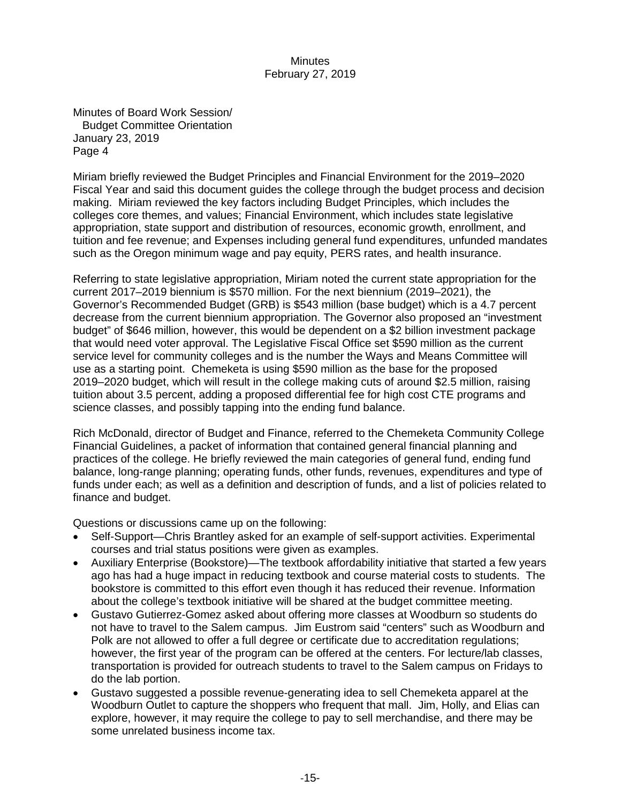Minutes of Board Work Session/ Budget Committee Orientation January 23, 2019 Page 4

Miriam briefly reviewed the Budget Principles and Financial Environment for the 2019–2020 Fiscal Year and said this document guides the college through the budget process and decision making. Miriam reviewed the key factors including Budget Principles, which includes the colleges core themes, and values; Financial Environment, which includes state legislative appropriation, state support and distribution of resources, economic growth, enrollment, and tuition and fee revenue; and Expenses including general fund expenditures, unfunded mandates such as the Oregon minimum wage and pay equity, PERS rates, and health insurance.

Referring to state legislative appropriation, Miriam noted the current state appropriation for the current 2017–2019 biennium is \$570 million. For the next biennium (2019–2021), the Governor's Recommended Budget (GRB) is \$543 million (base budget) which is a 4.7 percent decrease from the current biennium appropriation. The Governor also proposed an "investment budget" of \$646 million, however, this would be dependent on a \$2 billion investment package that would need voter approval. The Legislative Fiscal Office set \$590 million as the current service level for community colleges and is the number the Ways and Means Committee will use as a starting point. Chemeketa is using \$590 million as the base for the proposed 2019–2020 budget, which will result in the college making cuts of around \$2.5 million, raising tuition about 3.5 percent, adding a proposed differential fee for high cost CTE programs and science classes, and possibly tapping into the ending fund balance.

Rich McDonald, director of Budget and Finance, referred to the Chemeketa Community College Financial Guidelines, a packet of information that contained general financial planning and practices of the college. He briefly reviewed the main categories of general fund, ending fund balance, long-range planning; operating funds, other funds, revenues, expenditures and type of funds under each; as well as a definition and description of funds, and a list of policies related to finance and budget.

Questions or discussions came up on the following:

- Self-Support—Chris Brantley asked for an example of self-support activities. Experimental courses and trial status positions were given as examples.
- Auxiliary Enterprise (Bookstore)—The textbook affordability initiative that started a few years ago has had a huge impact in reducing textbook and course material costs to students. The bookstore is committed to this effort even though it has reduced their revenue. Information about the college's textbook initiative will be shared at the budget committee meeting.
- Gustavo Gutierrez-Gomez asked about offering more classes at Woodburn so students do not have to travel to the Salem campus. Jim Eustrom said "centers" such as Woodburn and Polk are not allowed to offer a full degree or certificate due to accreditation regulations; however, the first year of the program can be offered at the centers. For lecture/lab classes, transportation is provided for outreach students to travel to the Salem campus on Fridays to do the lab portion.
- Gustavo suggested a possible revenue-generating idea to sell Chemeketa apparel at the Woodburn Outlet to capture the shoppers who frequent that mall. Jim, Holly, and Elias can explore, however, it may require the college to pay to sell merchandise, and there may be some unrelated business income tax.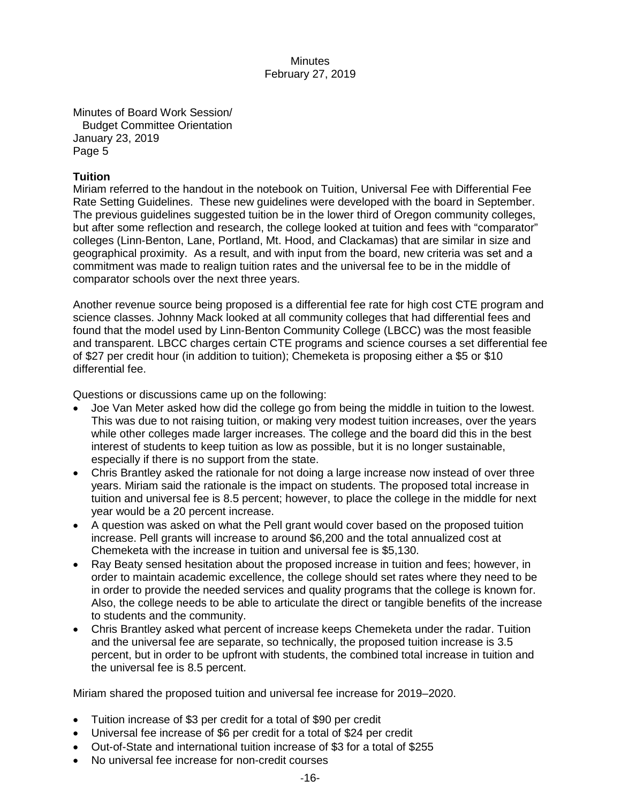Minutes of Board Work Session/ Budget Committee Orientation January 23, 2019 Page 5

# **Tuition**

Miriam referred to the handout in the notebook on Tuition, Universal Fee with Differential Fee Rate Setting Guidelines. These new guidelines were developed with the board in September. The previous guidelines suggested tuition be in the lower third of Oregon community colleges, but after some reflection and research, the college looked at tuition and fees with "comparator" colleges (Linn-Benton, Lane, Portland, Mt. Hood, and Clackamas) that are similar in size and geographical proximity. As a result, and with input from the board, new criteria was set and a commitment was made to realign tuition rates and the universal fee to be in the middle of comparator schools over the next three years.

Another revenue source being proposed is a differential fee rate for high cost CTE program and science classes. Johnny Mack looked at all community colleges that had differential fees and found that the model used by Linn-Benton Community College (LBCC) was the most feasible and transparent. LBCC charges certain CTE programs and science courses a set differential fee of \$27 per credit hour (in addition to tuition); Chemeketa is proposing either a \$5 or \$10 differential fee.

Questions or discussions came up on the following:

- Joe Van Meter asked how did the college go from being the middle in tuition to the lowest. This was due to not raising tuition, or making very modest tuition increases, over the years while other colleges made larger increases. The college and the board did this in the best interest of students to keep tuition as low as possible, but it is no longer sustainable, especially if there is no support from the state.
- Chris Brantley asked the rationale for not doing a large increase now instead of over three years. Miriam said the rationale is the impact on students. The proposed total increase in tuition and universal fee is 8.5 percent; however, to place the college in the middle for next year would be a 20 percent increase.
- A question was asked on what the Pell grant would cover based on the proposed tuition increase. Pell grants will increase to around \$6,200 and the total annualized cost at Chemeketa with the increase in tuition and universal fee is \$5,130.
- Ray Beaty sensed hesitation about the proposed increase in tuition and fees; however, in order to maintain academic excellence, the college should set rates where they need to be in order to provide the needed services and quality programs that the college is known for. Also, the college needs to be able to articulate the direct or tangible benefits of the increase to students and the community.
- Chris Brantley asked what percent of increase keeps Chemeketa under the radar. Tuition and the universal fee are separate, so technically, the proposed tuition increase is 3.5 percent, but in order to be upfront with students, the combined total increase in tuition and the universal fee is 8.5 percent.

Miriam shared the proposed tuition and universal fee increase for 2019–2020.

- Tuition increase of \$3 per credit for a total of \$90 per credit
- Universal fee increase of \$6 per credit for a total of \$24 per credit
- Out-of-State and international tuition increase of \$3 for a total of \$255
- No universal fee increase for non-credit courses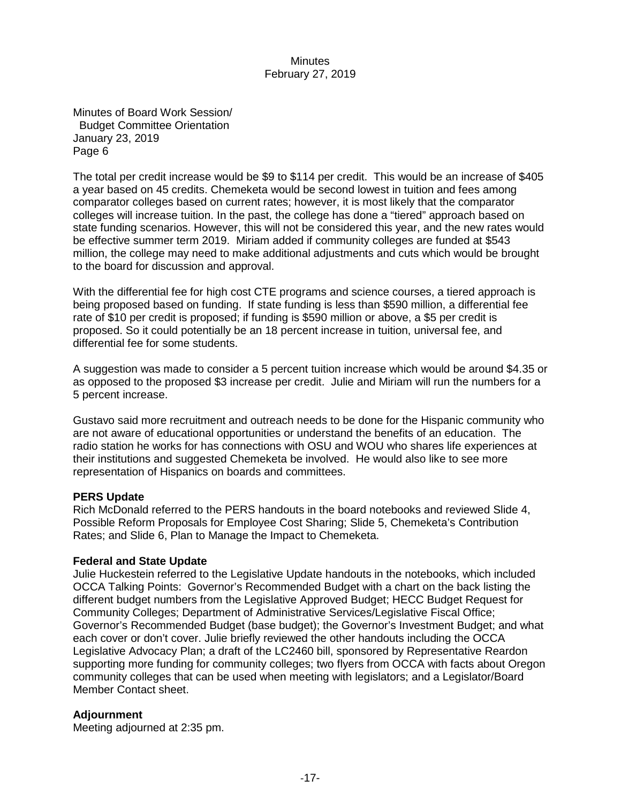Minutes of Board Work Session/ Budget Committee Orientation January 23, 2019 Page 6

The total per credit increase would be \$9 to \$114 per credit. This would be an increase of \$405 a year based on 45 credits. Chemeketa would be second lowest in tuition and fees among comparator colleges based on current rates; however, it is most likely that the comparator colleges will increase tuition. In the past, the college has done a "tiered" approach based on state funding scenarios. However, this will not be considered this year, and the new rates would be effective summer term 2019. Miriam added if community colleges are funded at \$543 million, the college may need to make additional adjustments and cuts which would be brought to the board for discussion and approval.

With the differential fee for high cost CTE programs and science courses, a tiered approach is being proposed based on funding. If state funding is less than \$590 million, a differential fee rate of \$10 per credit is proposed; if funding is \$590 million or above, a \$5 per credit is proposed. So it could potentially be an 18 percent increase in tuition, universal fee, and differential fee for some students.

A suggestion was made to consider a 5 percent tuition increase which would be around \$4.35 or as opposed to the proposed \$3 increase per credit. Julie and Miriam will run the numbers for a 5 percent increase.

Gustavo said more recruitment and outreach needs to be done for the Hispanic community who are not aware of educational opportunities or understand the benefits of an education. The radio station he works for has connections with OSU and WOU who shares life experiences at their institutions and suggested Chemeketa be involved. He would also like to see more representation of Hispanics on boards and committees.

#### **PERS Update**

Rich McDonald referred to the PERS handouts in the board notebooks and reviewed Slide 4, Possible Reform Proposals for Employee Cost Sharing; Slide 5, Chemeketa's Contribution Rates; and Slide 6, Plan to Manage the Impact to Chemeketa.

#### **Federal and State Update**

Julie Huckestein referred to the Legislative Update handouts in the notebooks, which included OCCA Talking Points: Governor's Recommended Budget with a chart on the back listing the different budget numbers from the Legislative Approved Budget; HECC Budget Request for Community Colleges; Department of Administrative Services/Legislative Fiscal Office; Governor's Recommended Budget (base budget); the Governor's Investment Budget; and what each cover or don't cover. Julie briefly reviewed the other handouts including the OCCA Legislative Advocacy Plan; a draft of the LC2460 bill, sponsored by Representative Reardon supporting more funding for community colleges; two flyers from OCCA with facts about Oregon community colleges that can be used when meeting with legislators; and a Legislator/Board Member Contact sheet.

#### **Adjournment**

Meeting adjourned at 2:35 pm.